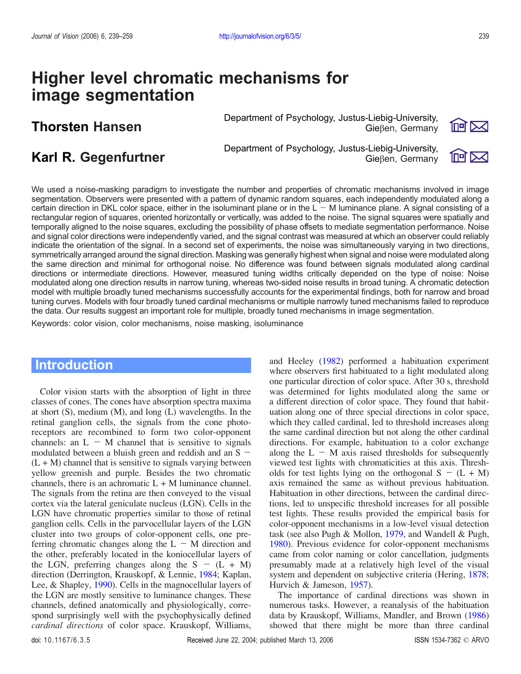# Higher level chromatic mechanisms for image segmentation

Department of Psychology, Justus-Liebig-University, **Thorsten Hansen** Gießen, Germany

Department of Psychology, Justus-Liebig-University, Karl R. Gegenfurtner Gielen, Germany





We used a noise-masking paradigm to investigate the number and properties of chromatic mechanisms involved in image segmentation. Observers were presented with a pattern of dynamic random squares, each independently modulated along a certain direction in DKL color space, either in the isoluminant plane or in the  $L - M$  luminance plane. A signal consisting of a rectangular region of squares, oriented horizontally or vertically, was added to the noise. The signal squares were spatially and temporally aligned to the noise squares, excluding the possibility of phase offsets to mediate segmentation performance. Noise and signal color directions were independently varied, and the signal contrast was measured at which an observer could reliably indicate the orientation of the signal. In a second set of experiments, the noise was simultaneously varying in two directions, symmetrically arranged around the signal direction. Masking was generally highest when signal and noise were modulated along the same direction and minimal for orthogonal noise. No difference was found between signals modulated along cardinal directions or intermediate directions. However, measured tuning widths critically depended on the type of noise: Noise modulated along one direction results in narrow tuning, whereas two-sided noise results in broad tuning. A chromatic detection model with multiple broadly tuned mechanisms successfully accounts for the experimental findings, both for narrow and broad tuning curves. Models with four broadly tuned cardinal mechanisms or multiple narrowly tuned mechanisms failed to reproduce the data. Our results suggest an important role for multiple, broadly tuned mechanisms in image segmentation.

Keywords: color vision, color mechanisms, noise masking, isoluminance

# **Introduction**

Color vision starts with the absorption of light in three classes of cones. The cones have absorption spectra maxima at short (S), medium (M), and long (L) wavelengths. In the retinal ganglion cells, the signals from the cone photoreceptors are recombined to form two color-opponent channels: an  $L - M$  channel that is sensitive to signals modulated between a bluish green and reddish and an  $S =$  $(L + M)$  channel that is sensitive to signals varying between yellow greenish and purple. Besides the two chromatic channels, there is an achromatic  $L + M$  luminance channel. The signals from the retina are then conveyed to the visual cortex via the lateral geniculate nucleus (LGN). Cells in the LGN have chromatic properties similar to those of retinal ganglion cells. Cells in the parvocellular layers of the LGN cluster into two groups of color-opponent cells, one preferring chromatic changes along the  $L - M$  direction and the other, preferably located in the koniocellular layers of the LGN, preferring changes along the  $S - (L + M)$ direction (Derrington, Krauskopf, & Lennie, [1984](#page-18-0); Kaplan, Lee, & Shapley, [1990\)](#page-19-0). Cells in the magnocellular layers of the LGN are mostly sensitive to luminance changes. These channels, defined anatomically and physiologically, correspond surprisingly well with the psychophysically defined cardinal directions of color space. Krauskopf, Williams,

and Heeley ([1982](#page-19-0)) performed a habituation experiment where observers first habituated to a light modulated along one particular direction of color space. After 30 s, threshold was determined for lights modulated along the same or a different direction of color space. They found that habituation along one of three special directions in color space, which they called cardinal, led to threshold increases along the same cardinal direction but not along the other cardinal directions. For example, habituation to a color exchange along the  $L - M$  axis raised thresholds for subsequently viewed test lights with chromaticities at this axis. Thresholds for test lights lying on the orthogonal  $S - (L + M)$ axis remained the same as without previous habituation. Habituation in other directions, between the cardinal directions, led to unspecific threshold increases for all possible test lights. These results provided the empirical basis for color-opponent mechanisms in a low-level visual detection task (see also Pugh & Mollon, [1979](#page-19-0), and Wandell & Pugh, [1980](#page-20-0)). Previous evidence for color-opponent mechanisms came from color naming or color cancellation, judgments presumably made at a relatively high level of the visual system and dependent on subjective criteria (Hering, [1878;](#page-19-0) Hurvich & Jameson, [1957](#page-19-0)).

The importance of cardinal directions was shown in numerous tasks. However, a reanalysis of the habituation data by Krauskopf, Williams, Mandler, and Brown ([1986](#page-19-0)) showed that there might be more than three cardinal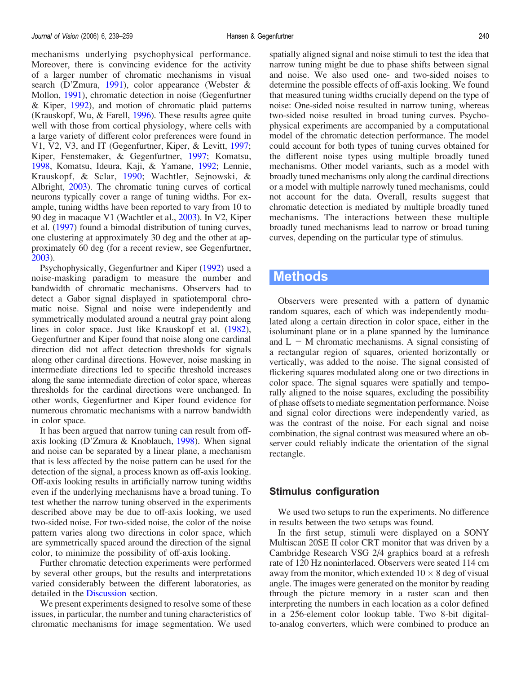mechanisms underlying psychophysical performance. Moreover, there is convincing evidence for the activity of a larger number of chromatic mechanisms in visual search (D'Zmura, [1991\)](#page-19-0), color appearance (Webster & Mollon, [1991](#page-20-0)), chromatic detection in noise (Gegenfurtner & Kiper, [1992](#page-19-0)), and motion of chromatic plaid patterns (Krauskopf, Wu, & Farell, [1996](#page-19-0)). These results agree quite well with those from cortical physiology, where cells with a large variety of different color preferences were found in V1, V2, V3, and IT (Gegenfurtner, Kiper, & Levitt, [1997](#page-19-0); Kiper, Fenstemaker, & Gegenfurtner, [1997;](#page-19-0) Komatsu, [1998,](#page-19-0) Komatsu, Ideura, Kaji, & Yamane, [1992](#page-19-0); Lennie, Krauskopf, & Sclar, [1990](#page-19-0); Wachtler, Sejnowski, & Albright, [2003\)](#page-20-0). The chromatic tuning curves of cortical neurons typically cover a range of tuning widths. For example, tuning widths have been reported to vary from 10 to 90 deg in macaque V1 (Wachtler et al., [2003](#page-20-0)). In V2, Kiper et al. [\(1997\)](#page-19-0) found a bimodal distribution of tuning curves, one clustering at approximately 30 deg and the other at approximately 60 deg (for a recent review, see Gegenfurtner, [2003\)](#page-19-0).

Psychophysically, Gegenfurtner and Kiper [\(1992\)](#page-19-0) used a noise-masking paradigm to measure the number and bandwidth of chromatic mechanisms. Observers had to detect a Gabor signal displayed in spatiotemporal chromatic noise. Signal and noise were independently and symmetrically modulated around a neutral gray point along lines in color space. Just like Krauskopf et al. [\(1982\)](#page-19-0), Gegenfurtner and Kiper found that noise along one cardinal direction did not affect detection thresholds for signals along other cardinal directions. However, noise masking in intermediate directions led to specific threshold increases along the same intermediate direction of color space, whereas thresholds for the cardinal directions were unchanged. In other words, Gegenfurtner and Kiper found evidence for numerous chromatic mechanisms with a narrow bandwidth in color space.

It has been argued that narrow tuning can result from offaxis looking (D'Zmura & Knoblauch, [1998\)](#page-19-0). When signal and noise can be separated by a linear plane, a mechanism that is less affected by the noise pattern can be used for the detection of the signal, a process known as off-axis looking. Off-axis looking results in artificially narrow tuning widths even if the underlying mechanisms have a broad tuning. To test whether the narrow tuning observed in the experiments described above may be due to off-axis looking, we used two-sided noise. For two-sided noise, the color of the noise pattern varies along two directions in color space, which are symmetrically spaced around the direction of the signal color, to minimize the possibility of off-axis looking.

Further chromatic detection experiments were performed by several other groups, but the results and interpretations varied considerably between the different laboratories, as detailed in the [Discussion](#page-16-0) section.

We present experiments designed to resolve some of these issues, in particular, the number and tuning characteristics of chromatic mechanisms for image segmentation. We used

spatially aligned signal and noise stimuli to test the idea that narrow tuning might be due to phase shifts between signal and noise. We also used one- and two-sided noises to determine the possible effects of off-axis looking. We found that measured tuning widths crucially depend on the type of noise: One-sided noise resulted in narrow tuning, whereas two-sided noise resulted in broad tuning curves. Psychophysical experiments are accompanied by a computational model of the chromatic detection performance. The model could account for both types of tuning curves obtained for the different noise types using multiple broadly tuned mechanisms. Other model variants, such as a model with broadly tuned mechanisms only along the cardinal directions or a model with multiple narrowly tuned mechanisms, could not account for the data. Overall, results suggest that chromatic detection is mediated by multiple broadly tuned mechanisms. The interactions between these multiple broadly tuned mechanisms lead to narrow or broad tuning curves, depending on the particular type of stimulus.

# Methods

Observers were presented with a pattern of dynamic random squares, each of which was independently modulated along a certain direction in color space, either in the isoluminant plane or in a plane spanned by the luminance and  $L - M$  chromatic mechanisms. A signal consisting of a rectangular region of squares, oriented horizontally or vertically, was added to the noise. The signal consisted of flickering squares modulated along one or two directions in color space. The signal squares were spatially and temporally aligned to the noise squares, excluding the possibility of phase offsets to mediate segmentation performance. Noise and signal color directions were independently varied, as was the contrast of the noise. For each signal and noise combination, the signal contrast was measured where an observer could reliably indicate the orientation of the signal rectangle.

## Stimulus configuration

We used two setups to run the experiments. No difference in results between the two setups was found.

In the first setup, stimuli were displayed on a SONY Multiscan 20SE II color CRT monitor that was driven by a Cambridge Research VSG 2/4 graphics board at a refresh rate of 120 Hz noninterlaced. Observers were seated 114 cm away from the monitor, which extended  $10 \times 8$  deg of visual angle. The images were generated on the monitor by reading through the picture memory in a raster scan and then interpreting the numbers in each location as a color defined in a 256-element color lookup table. Two 8-bit digitalto-analog converters, which were combined to produce an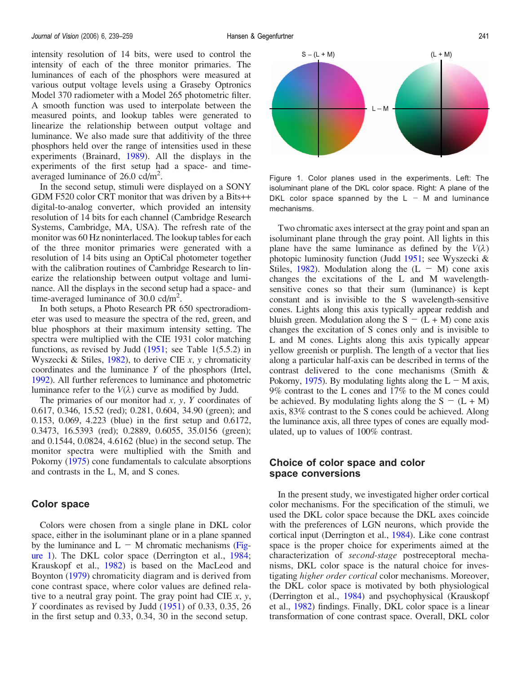intensity resolution of 14 bits, were used to control the intensity of each of the three monitor primaries. The luminances of each of the phosphors were measured at various output voltage levels using a Graseby Optronics Model 370 radiometer with a Model 265 photometric filter. A smooth function was used to interpolate between the measured points, and lookup tables were generated to linearize the relationship between output voltage and luminance. We also made sure that additivity of the three phosphors held over the range of intensities used in these experiments (Brainard, [1989\)](#page-18-0). All the displays in the experiments of the first setup had a space- and timeaveraged luminance of 26.0  $\frac{d}{m^2}$ .

In the second setup, stimuli were displayed on a SONY GDM F520 color CRT monitor that was driven by a Bits++ digital-to-analog converter, which provided an intensity resolution of 14 bits for each channel (Cambridge Research Systems, Cambridge, MA, USA). The refresh rate of the monitor was 60 Hz noninterlaced. The lookup tables for each of the three monitor primaries were generated with a resolution of 14 bits using an OptiCal photometer together with the calibration routines of Cambridge Research to linearize the relationship between output voltage and luminance. All the displays in the second setup had a space- and time-averaged luminance of  $30.0 \text{ cd/m}^2$ .

In both setups, a Photo Research PR 650 spectroradiometer was used to measure the spectra of the red, green, and blue phosphors at their maximum intensity setting. The spectra were multiplied with the CIE 1931 color matching functions, as revised by Judd ([1951](#page-19-0); see Table 1(5.5.2) in Wyszecki & Stiles, [1982](#page-20-0)), to derive CIE  $x$ ,  $y$  chromaticity coordinates and the luminance Y of the phosphors (Irtel, [1992\)](#page-19-0). All further references to luminance and photometric luminance refer to the  $V(\lambda)$  curve as modified by Judd.

The primaries of our monitor had  $x$ ,  $y$ ,  $Y$  coordinates of 0.617, 0.346, 15.52 (red); 0.281, 0.604, 34.90 (green); and 0.153, 0.069, 4.223 (blue) in the first setup and 0.6172, 0.3473, 16.5393 (red); 0.2889, 0.6055, 35.0156 (green); and 0.1544, 0.0824, 4.6162 (blue) in the second setup. The monitor spectra were multiplied with the Smith and Pokorny [\(1975\)](#page-20-0) cone fundamentals to calculate absorptions and contrasts in the L, M, and S cones.

# Color space

Colors were chosen from a single plane in DKL color space, either in the isoluminant plane or in a plane spanned by the luminance and  $L - M$  chromatic mechanisms (Figure 1). The DKL color space (Derrington et al., [1984](#page-18-0); Krauskopf et al., [1982\)](#page-19-0) is based on the MacLeod and Boynton ([1979\)](#page-19-0) chromaticity diagram and is derived from cone contrast space, where color values are defined relative to a neutral gray point. The gray point had CIE  $x$ ,  $y$ , Y coordinates as revised by Judd [\(1951\)](#page-19-0) of 0.33, 0.35, 26 in the first setup and 0.33, 0.34, 30 in the second setup.



Two chromatic axes intersect at the gray point and span an isoluminant plane through the gray point. All lights in this plane have the same luminance as defined by the  $V(\lambda)$ photopic luminosity function (Judd [1951](#page-19-0); see Wyszecki & Stiles, [1982\)](#page-20-0). Modulation along the  $(L - M)$  cone axis changes the excitations of the L and M wavelengthsensitive cones so that their sum (luminance) is kept constant and is invisible to the S wavelength-sensitive cones. Lights along this axis typically appear reddish and bluish green. Modulation along the  $S - (L + M)$  cone axis changes the excitation of S cones only and is invisible to L and M cones. Lights along this axis typically appear yellow greenish or purplish. The length of a vector that lies along a particular half-axis can be described in terms of the contrast delivered to the cone mechanisms (Smith & Pokorny, [1975\)](#page-20-0). By modulating lights along the  $L - M$  axis, 9% contrast to the L cones and 17% to the M cones could be achieved. By modulating lights along the  $S - (L + M)$ axis, 83% contrast to the S cones could be achieved. Along the luminance axis, all three types of cones are equally modulated, up to values of 100% contrast.

# Choice of color space and color space conversions

In the present study, we investigated higher order cortical color mechanisms. For the specification of the stimuli, we used the DKL color space because the DKL axes coincide with the preferences of LGN neurons, which provide the cortical input (Derrington et al., [1984\)](#page-18-0). Like cone contrast space is the proper choice for experiments aimed at the characterization of second-stage postreceptoral mechanisms, DKL color space is the natural choice for investigating higher order cortical color mechanisms. Moreover, the DKL color space is motivated by both physiological (Derrington et al., [1984](#page-18-0)) and psychophysical (Krauskopf et al., [1982\)](#page-19-0) findings. Finally, DKL color space is a linear transformation of cone contrast space. Overall, DKL color



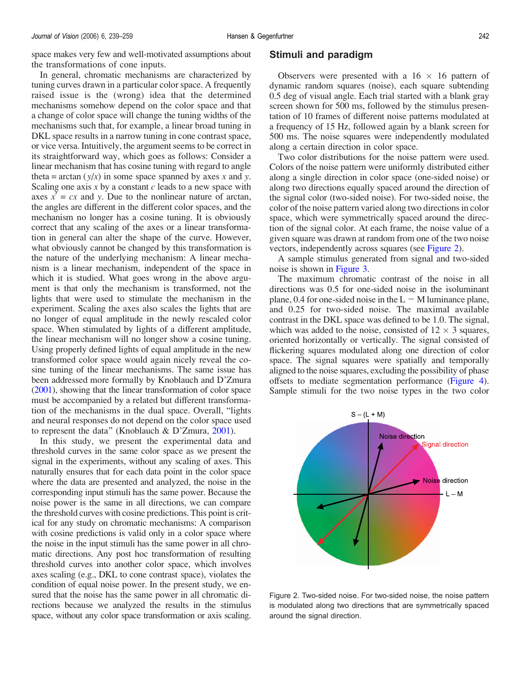space makes very few and well-motivated assumptions about the transformations of cone inputs.

In general, chromatic mechanisms are characterized by tuning curves drawn in a particular color space. A frequently raised issue is the (wrong) idea that the determined mechanisms somehow depend on the color space and that a change of color space will change the tuning widths of the mechanisms such that, for example, a linear broad tuning in DKL space results in a narrow tuning in cone contrast space, or vice versa. Intuitively, the argument seems to be correct in its straightforward way, which goes as follows: Consider a linear mechanism that has cosine tuning with regard to angle theta = arctan  $(y/x)$  in some space spanned by axes x and y. Scaling one axis  $x$  by a constant  $c$  leads to a new space with axes  $x' = cx$  and y. Due to the nonlinear nature of arctan, the angles are different in the different color spaces, and the mechanism no longer has a cosine tuning. It is obviously correct that any scaling of the axes or a linear transformation in general can alter the shape of the curve. However, what obviously cannot be changed by this transformation is the nature of the underlying mechanism: A linear mechanism is a linear mechanism, independent of the space in which it is studied. What goes wrong in the above argument is that only the mechanism is transformed, not the lights that were used to stimulate the mechanism in the experiment. Scaling the axes also scales the lights that are no longer of equal amplitude in the newly rescaled color space. When stimulated by lights of a different amplitude, the linear mechanism will no longer show a cosine tuning. Using properly defined lights of equal amplitude in the new transformed color space would again nicely reveal the cosine tuning of the linear mechanisms. The same issue has been addressed more formally by Knoblauch and D'Zmura [\(2001](#page-19-0)), showing that the linear transformation of color space must be accompanied by a related but different transformation of the mechanisms in the dual space. Overall, "lights" and neural responses do not depend on the color space used to represent the data" (Knoblauch & D'Zmura, [2001\)](#page-19-0).

In this study, we present the experimental data and threshold curves in the same color space as we present the signal in the experiments, without any scaling of axes. This naturally ensures that for each data point in the color space where the data are presented and analyzed, the noise in the corresponding input stimuli has the same power. Because the noise power is the same in all directions, we can compare the threshold curves with cosine predictions. This point is critical for any study on chromatic mechanisms: A comparison with cosine predictions is valid only in a color space where the noise in the input stimuli has the same power in all chromatic directions. Any post hoc transformation of resulting threshold curves into another color space, which involves axes scaling (e.g., DKL to cone contrast space), violates the condition of equal noise power. In the present study, we ensured that the noise has the same power in all chromatic directions because we analyzed the results in the stimulus space, without any color space transformation or axis scaling.

#### Stimuli and paradigm

Observers were presented with a  $16 \times 16$  pattern of dynamic random squares (noise), each square subtending 0.5 deg of visual angle. Each trial started with a blank gray screen shown for 500 ms, followed by the stimulus presentation of 10 frames of different noise patterns modulated at a frequency of 15 Hz, followed again by a blank screen for 500 ms. The noise squares were independently modulated along a certain direction in color space.

Two color distributions for the noise pattern were used. Colors of the noise pattern were uniformly distributed either along a single direction in color space (one-sided noise) or along two directions equally spaced around the direction of the signal color (two-sided noise). For two-sided noise, the color of the noise pattern varied along two directions in color space, which were symmetrically spaced around the direction of the signal color. At each frame, the noise value of a given square was drawn at random from one of the two noise vectors, independently across squares (see Figure 2).

A sample stimulus generated from signal and two-sided noise is shown in [Figure 3.](#page-4-0)

The maximum chromatic contrast of the noise in all directions was 0.5 for one-sided noise in the isoluminant plane, 0.4 for one-sided noise in the  $L - M$  luminance plane, and 0.25 for two-sided noise. The maximal available contrast in the DKL space was defined to be 1.0. The signal, which was added to the noise, consisted of  $12 \times 3$  squares, oriented horizontally or vertically. The signal consisted of flickering squares modulated along one direction of color space. The signal squares were spatially and temporally aligned to the noise squares, excluding the possibility of phase offsets to mediate segmentation performance [\(Figure 4\)](#page-4-0). Sample stimuli for the two noise types in the two color



Figure 2. Two-sided noise. For two-sided noise, the noise pattern is modulated along two directions that are symmetrically spaced around the signal direction.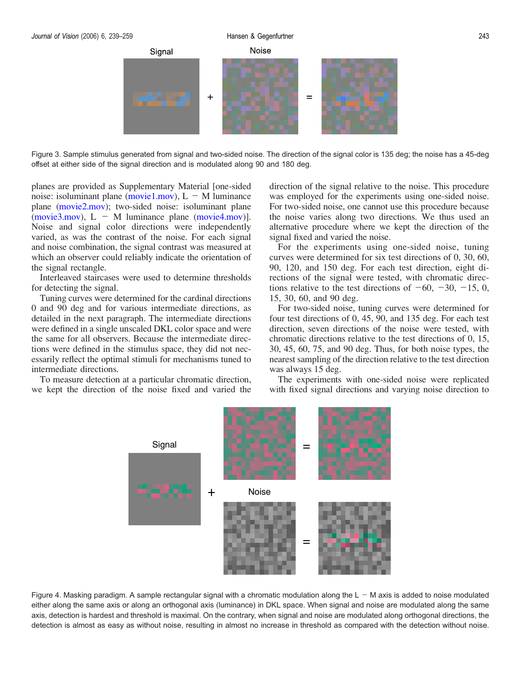<span id="page-4-0"></span>

Figure 3. Sample stimulus generated from signal and two-sided noise. The direction of the signal color is 135 deg; the noise has a 45-deg offset at either side of the signal direction and is modulated along 90 and 180 deg.

planes are provided as Supplementary Material [one-sided noise: isoluminant plane ([movie1.mov](http://journalofvision.org/6/3/5/images/movie1.mov)),  $L - M$  luminance plane ([movie2.mov](http://journalofvision.org/6/3/5/images/movie2.mov)); two-sided noise: isoluminant plane ([movie3.mov](http://journalofvision.org/6/3/5/images/movie3.mov)),  $L - M$  luminance plane [\(movie4.mov\)](http://journalofvision.org/6/3/5/images/movie4.mov)]. Noise and signal color directions were independently varied, as was the contrast of the noise. For each signal and noise combination, the signal contrast was measured at which an observer could reliably indicate the orientation of the signal rectangle.

Interleaved staircases were used to determine thresholds for detecting the signal.

Tuning curves were determined for the cardinal directions 0 and 90 deg and for various intermediate directions, as detailed in the next paragraph. The intermediate directions were defined in a single unscaled DKL color space and were the same for all observers. Because the intermediate directions were defined in the stimulus space, they did not necessarily reflect the optimal stimuli for mechanisms tuned to intermediate directions.

To measure detection at a particular chromatic direction, we kept the direction of the noise fixed and varied the

direction of the signal relative to the noise. This procedure was employed for the experiments using one-sided noise. For two-sided noise, one cannot use this procedure because the noise varies along two directions. We thus used an alternative procedure where we kept the direction of the signal fixed and varied the noise.

For the experiments using one-sided noise, tuning curves were determined for six test directions of 0, 30, 60, 90, 120, and 150 deg. For each test direction, eight directions of the signal were tested, with chromatic directions relative to the test directions of  $-60$ ,  $-30$ ,  $-15$ , 0, 15, 30, 60, and 90 deg.

For two-sided noise, tuning curves were determined for four test directions of 0, 45, 90, and 135 deg. For each test direction, seven directions of the noise were tested, with chromatic directions relative to the test directions of 0, 15, 30, 45, 60, 75, and 90 deg. Thus, for both noise types, the nearest sampling of the direction relative to the test direction was always 15 deg.

The experiments with one-sided noise were replicated with fixed signal directions and varying noise direction to



Figure 4. Masking paradigm. A sample rectangular signal with a chromatic modulation along the  $L - M$  axis is added to noise modulated either along the same axis or along an orthogonal axis (luminance) in DKL space. When signal and noise are modulated along the same axis, detection is hardest and threshold is maximal. On the contrary, when signal and noise are modulated along orthogonal directions, the detection is almost as easy as without noise, resulting in almost no increase in threshold as compared with the detection without noise.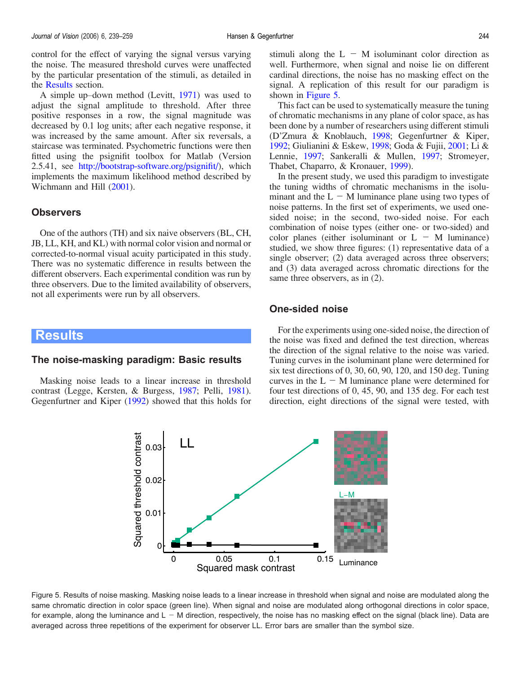control for the effect of varying the signal versus varying the noise. The measured threshold curves were unaffected by the particular presentation of the stimuli, as detailed in the Results section.

A simple up-down method (Levitt,  $1971$ ) was used to adjust the signal amplitude to threshold. After three positive responses in a row, the signal magnitude was decreased by 0.1 log units; after each negative response, it was increased by the same amount. After six reversals, a staircase was terminated. Psychometric functions were then fitted using the psignifit toolbox for Matlab (Version 2.5.41, see <http://bootstrap-software.org/psignifit/>), which implements the maximum likelihood method described by Wichmann and Hill [\(2001\)](#page-20-0).

# **Observers**

One of the authors (TH) and six naive observers (BL, CH, JB, LL, KH, and KL) with normal color vision and normal or corrected-to-normal visual acuity participated in this study. There was no systematic difference in results between the different observers. Each experimental condition was run by three observers. Due to the limited availability of observers, not all experiments were run by all observers.

# Results

# The noise-masking paradigm: Basic results

Masking noise leads to a linear increase in threshold contrast (Legge, Kersten, & Burgess, [1987](#page-19-0); Pelli, [1981\)](#page-19-0). Gegenfurtner and Kiper [\(1992](#page-19-0)) showed that this holds for stimuli along the  $L - M$  isoluminant color direction as well. Furthermore, when signal and noise lie on different cardinal directions, the noise has no masking effect on the signal. A replication of this result for our paradigm is shown in Figure 5.

This fact can be used to systematically measure the tuning of chromatic mechanisms in any plane of color space, as has been done by a number of researchers using different stimuli (D'Zmura & Knoblauch, [1998;](#page-19-0) Gegenfurtner & Kiper, [1992](#page-19-0); Giulianini & Eskew, [1998;](#page-19-0) Goda & Fujii, [2001](#page-19-0); Li & Lennie, [1997](#page-19-0); Sankeralli & Mullen, [1997](#page-20-0); Stromeyer, Thabet, Chaparro, & Kronauer, [1999\)](#page-20-0).

In the present study, we used this paradigm to investigate the tuning widths of chromatic mechanisms in the isoluminant and the  $L - M$  luminance plane using two types of noise patterns. In the first set of experiments, we used onesided noise; in the second, two-sided noise. For each combination of noise types (either one- or two-sided) and color planes (either isoluminant or  $L - M$  luminance) studied, we show three figures: (1) representative data of a single observer; (2) data averaged across three observers; and (3) data averaged across chromatic directions for the same three observers, as in (2).

# One-sided noise

For the experiments using one-sided noise, the direction of the noise was fixed and defined the test direction, whereas the direction of the signal relative to the noise was varied. Tuning curves in the isoluminant plane were determined for six test directions of 0, 30, 60, 90, 120, and 150 deg. Tuning curves in the  $L - M$  luminance plane were determined for four test directions of 0, 45, 90, and 135 deg. For each test direction, eight directions of the signal were tested, with



Figure 5. Results of noise masking. Masking noise leads to a linear increase in threshold when signal and noise are modulated along the same chromatic direction in color space (green line). When signal and noise are modulated along orthogonal directions in color space, for example, along the luminance and  $L - M$  direction, respectively, the noise has no masking effect on the signal (black line). Data are averaged across three repetitions of the experiment for observer LL. Error bars are smaller than the symbol size.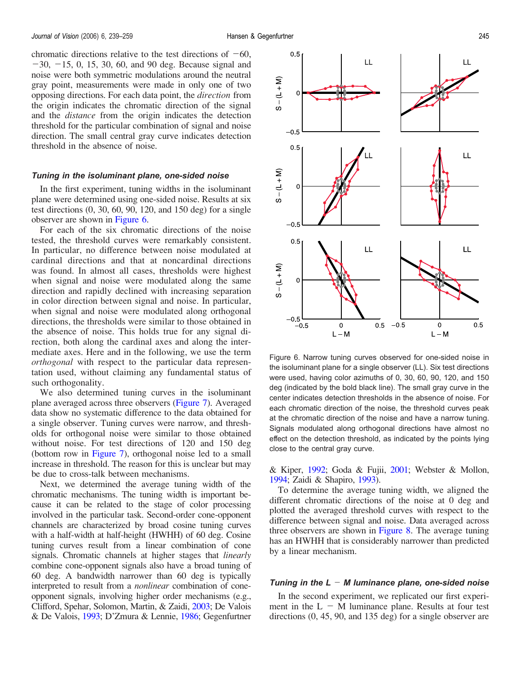chromatic directions relative to the test directions of  $-60$ ,  $-30, -15, 0, 15, 30, 60,$  and 90 deg. Because signal and noise were both symmetric modulations around the neutral gray point, measurements were made in only one of two opposing directions. For each data point, the direction from the origin indicates the chromatic direction of the signal and the distance from the origin indicates the detection threshold for the particular combination of signal and noise direction. The small central gray curve indicates detection threshold in the absence of noise.

#### Tuning in the isoluminant plane, one-sided noise

In the first experiment, tuning widths in the isoluminant plane were determined using one-sided noise. Results at six test directions (0, 30, 60, 90, 120, and 150 deg) for a single observer are shown in Figure 6.

For each of the six chromatic directions of the noise tested, the threshold curves were remarkably consistent. In particular, no difference between noise modulated at cardinal directions and that at noncardinal directions was found. In almost all cases, thresholds were highest when signal and noise were modulated along the same direction and rapidly declined with increasing separation in color direction between signal and noise. In particular, when signal and noise were modulated along orthogonal directions, the thresholds were similar to those obtained in the absence of noise. This holds true for any signal direction, both along the cardinal axes and along the intermediate axes. Here and in the following, we use the term orthogonal with respect to the particular data representation used, without claiming any fundamental status of such orthogonality.

We also determined tuning curves in the isoluminant plane averaged across three observers ([Figure 7\)](#page-7-0). Averaged data show no systematic difference to the data obtained for a single observer. Tuning curves were narrow, and thresholds for orthogonal noise were similar to those obtained without noise. For test directions of 120 and 150 deg (bottom row in [Figure 7\)](#page-7-0), orthogonal noise led to a small increase in threshold. The reason for this is unclear but may be due to cross-talk between mechanisms.

Next, we determined the average tuning width of the chromatic mechanisms. The tuning width is important because it can be related to the stage of color processing involved in the particular task. Second-order cone-opponent channels are characterized by broad cosine tuning curves with a half-width at half-height (HWHH) of 60 deg. Cosine tuning curves result from a linear combination of cone signals. Chromatic channels at higher stages that *linearly* combine cone-opponent signals also have a broad tuning of 60 deg. A bandwidth narrower than 60 deg is typically interpreted to result from a nonlinear combination of coneopponent signals, involving higher order mechanisms (e.g., Clifford, Spehar, Solomon, Martin, & Zaidi, [2003;](#page-18-0) De Valois & De Valois, [1993;](#page-19-0) D'Zmura & Lennie, [1986](#page-19-0); Gegenfurtner



Figure 6. Narrow tuning curves observed for one-sided noise in the isoluminant plane for a single observer (LL). Six test directions were used, having color azimuths of 0, 30, 60, 90, 120, and 150 deg (indicated by the bold black line). The small gray curve in the center indicates detection thresholds in the absence of noise. For each chromatic direction of the noise, the threshold curves peak at the chromatic direction of the noise and have a narrow tuning. Signals modulated along orthogonal directions have almost no effect on the detection threshold, as indicated by the points lying close to the central gray curve.

& Kiper, [1992;](#page-19-0) Goda & Fujii, [2001;](#page-19-0) Webster & Mollon, [1994;](#page-20-0) Zaidi & Shapiro, [1993\)](#page-20-0).

To determine the average tuning width, we aligned the different chromatic directions of the noise at 0 deg and plotted the averaged threshold curves with respect to the difference between signal and noise. Data averaged across three observers are shown in [Figure 8.](#page-7-0) The average tuning has an HWHH that is considerably narrower than predicted by a linear mechanism.

#### Tuning in the  $L - M$  luminance plane, one-sided noise

In the second experiment, we replicated our first experiment in the  $L - M$  luminance plane. Results at four test directions (0, 45, 90, and 135 deg) for a single observer are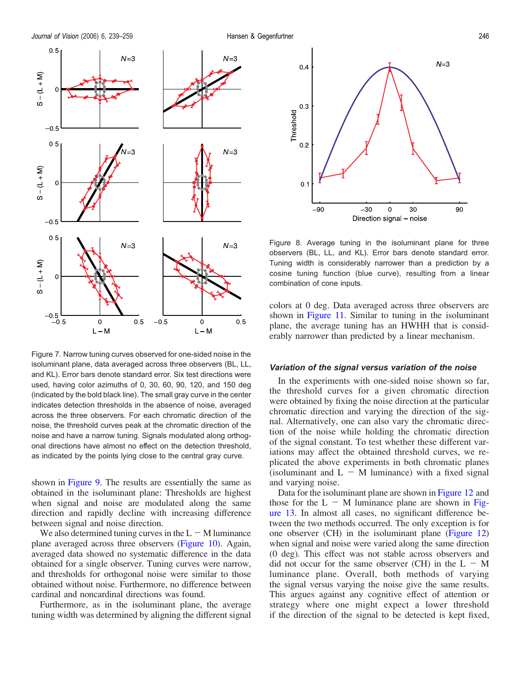<span id="page-7-0"></span>

Figure 7. Narrow tuning curves observed for one-sided noise in the isoluminant plane, data averaged across three observers (BL, LL, and KL). Error bars denote standard error. Six test directions were used, having color azimuths of 0, 30, 60, 90, 120, and 150 deg (indicated by the bold black line). The small gray curve in the center indicates detection thresholds in the absence of noise, averaged across the three observers. For each chromatic direction of the noise, the threshold curves peak at the chromatic direction of the noise and have a narrow tuning. Signals modulated along orthogonal directions have almost no effect on the detection threshold, as indicated by the points lying close to the central gray curve.

shown in [Figure 9](#page-8-0). The results are essentially the same as obtained in the isoluminant plane: Thresholds are highest when signal and noise are modulated along the same direction and rapidly decline with increasing difference between signal and noise direction.

We also determined tuning curves in the  $L - M$  luminance plane averaged across three observers [\(Figure 10](#page-8-0)). Again, averaged data showed no systematic difference in the data obtained for a single observer. Tuning curves were narrow, and thresholds for orthogonal noise were similar to those obtained without noise. Furthermore, no difference between cardinal and noncardinal directions was found.

Furthermore, as in the isoluminant plane, the average tuning width was determined by aligning the different signal



Figure 8. Average tuning in the isoluminant plane for three observers (BL, LL, and KL). Error bars denote standard error. Tuning width is considerably narrower than a prediction by a cosine tuning function (blue curve), resulting from a linear combination of cone inputs.

colors at 0 deg. Data averaged across three observers are shown in [Figure 11.](#page-9-0) Similar to tuning in the isoluminant plane, the average tuning has an HWHH that is considerably narrower than predicted by a linear mechanism.

#### Variation of the signal versus variation of the noise

In the experiments with one-sided noise shown so far, the threshold curves for a given chromatic direction were obtained by fixing the noise direction at the particular chromatic direction and varying the direction of the signal. Alternatively, one can also vary the chromatic direction of the noise while holding the chromatic direction of the signal constant. To test whether these different variations may affect the obtained threshold curves, we replicated the above experiments in both chromatic planes (isoluminant and  $L - M$  luminance) with a fixed signal and varying noise.

Data for the isoluminant plane are shown in [Figure 12](#page-9-0) and those for the  $L - M$  luminance plane are shown in [Fig](#page-10-0)[ure 13](#page-10-0). In almost all cases, no significant difference between the two methods occurred. The only exception is for one observer (CH) in the isoluminant plane [\(Figure 12](#page-9-0)) when signal and noise were varied along the same direction (0 deg). This effect was not stable across observers and did not occur for the same observer (CH) in the  $L - M$ luminance plane. Overall, both methods of varying the signal versus varying the noise give the same results. This argues against any cognitive effect of attention or strategy where one might expect a lower threshold if the direction of the signal to be detected is kept fixed,

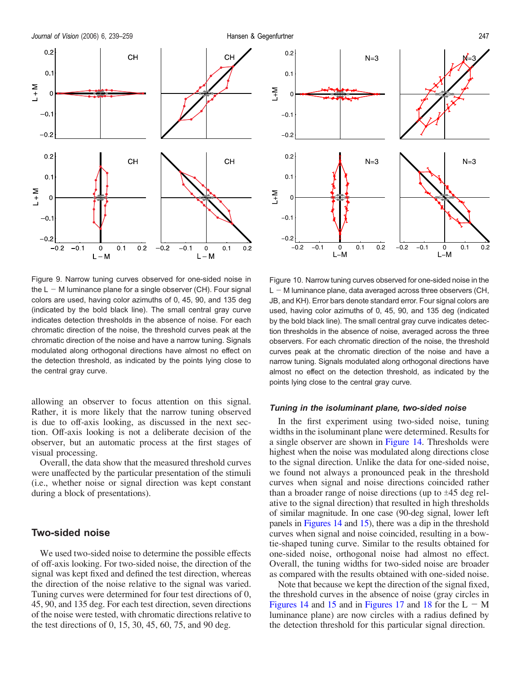<span id="page-8-0"></span>

Figure 9. Narrow tuning curves observed for one-sided noise in the  $L - M$  luminance plane for a single observer (CH). Four signal colors are used, having color azimuths of 0, 45, 90, and 135 deg (indicated by the bold black line). The small central gray curve indicates detection thresholds in the absence of noise. For each chromatic direction of the noise, the threshold curves peak at the chromatic direction of the noise and have a narrow tuning. Signals modulated along orthogonal directions have almost no effect on the detection threshold, as indicated by the points lying close to the central gray curve.

allowing an observer to focus attention on this signal. Rather, it is more likely that the narrow tuning observed is due to off-axis looking, as discussed in the next section. Off-axis looking is not a deliberate decision of the observer, but an automatic process at the first stages of visual processing.

Overall, the data show that the measured threshold curves were unaffected by the particular presentation of the stimuli (i.e., whether noise or signal direction was kept constant during a block of presentations).

# Two-sided noise

We used two-sided noise to determine the possible effects of off-axis looking. For two-sided noise, the direction of the signal was kept fixed and defined the test direction, whereas the direction of the noise relative to the signal was varied. Tuning curves were determined for four test directions of 0, 45, 90, and 135 deg. For each test direction, seven directions of the noise were tested, with chromatic directions relative to the test directions of 0, 15, 30, 45, 60, 75, and 90 deg.



Figure 10. Narrow tuning curves observed for one-sided noise in the  $L - M$  luminance plane, data averaged across three observers (CH, JB, and KH). Error bars denote standard error. Four signal colors are used, having color azimuths of 0, 45, 90, and 135 deg (indicated by the bold black line). The small central gray curve indicates detection thresholds in the absence of noise, averaged across the three observers. For each chromatic direction of the noise, the threshold curves peak at the chromatic direction of the noise and have a narrow tuning. Signals modulated along orthogonal directions have almost no effect on the detection threshold, as indicated by the points lying close to the central gray curve.

#### Tuning in the isoluminant plane, two-sided noise

In the first experiment using two-sided noise, tuning widths in the isoluminant plane were determined. Results for a single observer are shown in [Figure 14.](#page-10-0) Thresholds were highest when the noise was modulated along directions close to the signal direction. Unlike the data for one-sided noise, we found not always a pronounced peak in the threshold curves when signal and noise directions coincided rather than a broader range of noise directions (up to  $\pm 45$  deg relative to the signal direction) that resulted in high thresholds of similar magnitude. In one case (90-deg signal, lower left panels in [Figures 14](#page-10-0) and [15\)](#page-11-0), there was a dip in the threshold curves when signal and noise coincided, resulting in a bowtie-shaped tuning curve. Similar to the results obtained for one-sided noise, orthogonal noise had almost no effect. Overall, the tuning widths for two-sided noise are broader as compared with the results obtained with one-sided noise.

Note that because we kept the direction of the signal fixed, the threshold curves in the absence of noise (gray circles in [Figures 14](#page-10-0) and [15](#page-11-0) and in [Figures 17](#page-12-0) and [18](#page-12-0) for the  $L - M$ luminance plane) are now circles with a radius defined by the detection threshold for this particular signal direction.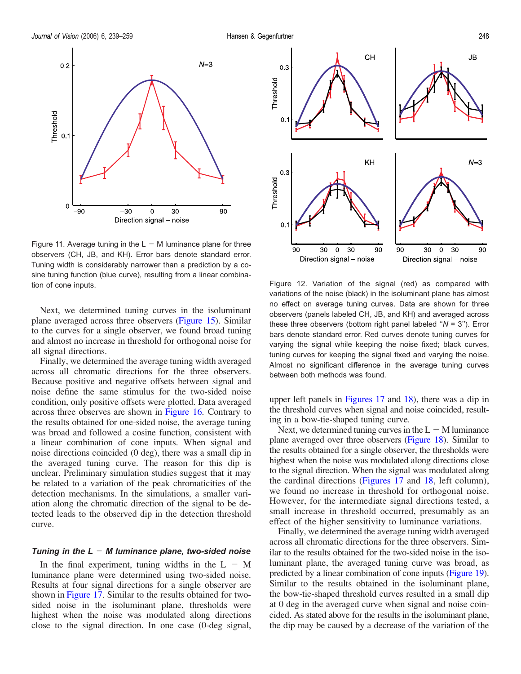<span id="page-9-0"></span>

Figure 11. Average tuning in the  $L - M$  luminance plane for three observers (CH, JB, and KH). Error bars denote standard error. Tuning width is considerably narrower than a prediction by a cosine tuning function (blue curve), resulting from a linear combination of cone inputs.

Next, we determined tuning curves in the isoluminant plane averaged across three observers [\(Figure 15](#page-11-0)). Similar to the curves for a single observer, we found broad tuning and almost no increase in threshold for orthogonal noise for all signal directions.

Finally, we determined the average tuning width averaged across all chromatic directions for the three observers. Because positive and negative offsets between signal and noise define the same stimulus for the two-sided noise condition, only positive offsets were plotted. Data averaged across three observes are shown in [Figure 16](#page-11-0). Contrary to the results obtained for one-sided noise, the average tuning was broad and followed a cosine function, consistent with a linear combination of cone inputs. When signal and noise directions coincided (0 deg), there was a small dip in the averaged tuning curve. The reason for this dip is unclear. Preliminary simulation studies suggest that it may be related to a variation of the peak chromaticities of the detection mechanisms. In the simulations, a smaller variation along the chromatic direction of the signal to be detected leads to the observed dip in the detection threshold curve.

#### Tuning in the  $L - M$  luminance plane, two-sided noise

In the final experiment, tuning widths in the  $L - M$ luminance plane were determined using two-sided noise. Results at four signal directions for a single observer are shown in [Figure 17](#page-12-0). Similar to the results obtained for twosided noise in the isoluminant plane, thresholds were highest when the noise was modulated along directions close to the signal direction. In one case (0-deg signal,



Figure 12. Variation of the signal (red) as compared with variations of the noise (black) in the isoluminant plane has almost no effect on average tuning curves. Data are shown for three observers (panels labeled CH, JB, and KH) and averaged across these three observers (bottom right panel labeled " $N = 3$ "). Error bars denote standard error. Red curves denote tuning curves for varying the signal while keeping the noise fixed; black curves, tuning curves for keeping the signal fixed and varying the noise. Almost no significant difference in the average tuning curves between both methods was found.

upper left panels in [Figures 17](#page-12-0) and [18\)](#page-12-0), there was a dip in the threshold curves when signal and noise coincided, resulting in a bow-tie-shaped tuning curve.

Next, we determined tuning curves in the  $L - M$  luminance plane averaged over three observers [\(Figure 18](#page-12-0)). Similar to the results obtained for a single observer, the thresholds were highest when the noise was modulated along directions close to the signal direction. When the signal was modulated along the cardinal directions ([Figures 17](#page-12-0) and [18](#page-12-0), left column), we found no increase in threshold for orthogonal noise. However, for the intermediate signal directions tested, a small increase in threshold occurred, presumably as an effect of the higher sensitivity to luminance variations.

Finally, we determined the average tuning width averaged across all chromatic directions for the three observers. Similar to the results obtained for the two-sided noise in the isoluminant plane, the averaged tuning curve was broad, as predicted by a linear combination of cone inputs [\(Figure 19\)](#page-13-0). Similar to the results obtained in the isoluminant plane, the bow-tie-shaped threshold curves resulted in a small dip at 0 deg in the averaged curve when signal and noise coincided. As stated above for the results in the isoluminant plane, the dip may be caused by a decrease of the variation of the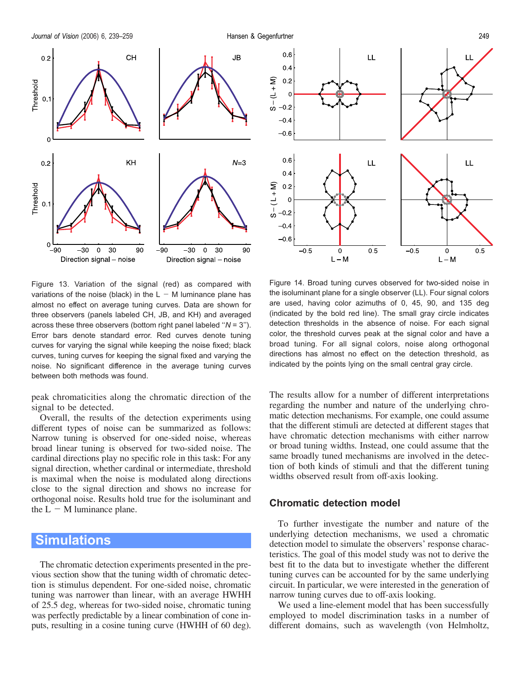<span id="page-10-0"></span>



Figure 13. Variation of the signal (red) as compared with variations of the noise (black) in the  $L - M$  luminance plane has almost no effect on average tuning curves. Data are shown for three observers (panels labeled CH, JB, and KH) and averaged across these three observers (bottom right panel labeled " $N = 3$ "). Error bars denote standard error. Red curves denote tuning curves for varying the signal while keeping the noise fixed; black curves, tuning curves for keeping the signal fixed and varying the noise. No significant difference in the average tuning curves between both methods was found.

peak chromaticities along the chromatic direction of the signal to be detected.

Overall, the results of the detection experiments using different types of noise can be summarized as follows: Narrow tuning is observed for one-sided noise, whereas broad linear tuning is observed for two-sided noise. The cardinal directions play no specific role in this task: For any signal direction, whether cardinal or intermediate, threshold is maximal when the noise is modulated along directions close to the signal direction and shows no increase for orthogonal noise. Results hold true for the isoluminant and the  $L - M$  luminance plane.

# **Simulations**

The chromatic detection experiments presented in the previous section show that the tuning width of chromatic detection is stimulus dependent. For one-sided noise, chromatic tuning was narrower than linear, with an average HWHH of 25.5 deg, whereas for two-sided noise, chromatic tuning was perfectly predictable by a linear combination of cone inputs, resulting in a cosine tuning curve (HWHH of 60 deg).

Figure 14. Broad tuning curves observed for two-sided noise in the isoluminant plane for a single observer (LL). Four signal colors are used, having color azimuths of 0, 45, 90, and 135 deg (indicated by the bold red line). The small gray circle indicates detection thresholds in the absence of noise. For each signal color, the threshold curves peak at the signal color and have a broad tuning. For all signal colors, noise along orthogonal directions has almost no effect on the detection threshold, as indicated by the points lying on the small central gray circle.

The results allow for a number of different interpretations regarding the number and nature of the underlying chromatic detection mechanisms. For example, one could assume that the different stimuli are detected at different stages that have chromatic detection mechanisms with either narrow or broad tuning widths. Instead, one could assume that the same broadly tuned mechanisms are involved in the detection of both kinds of stimuli and that the different tuning widths observed result from off-axis looking.

## Chromatic detection model

To further investigate the number and nature of the underlying detection mechanisms, we used a chromatic detection model to simulate the observers' response characteristics. The goal of this model study was not to derive the best fit to the data but to investigate whether the different tuning curves can be accounted for by the same underlying circuit. In particular, we were interested in the generation of narrow tuning curves due to off-axis looking.

We used a line-element model that has been successfully employed to model discrimination tasks in a number of different domains, such as wavelength (von Helmholtz,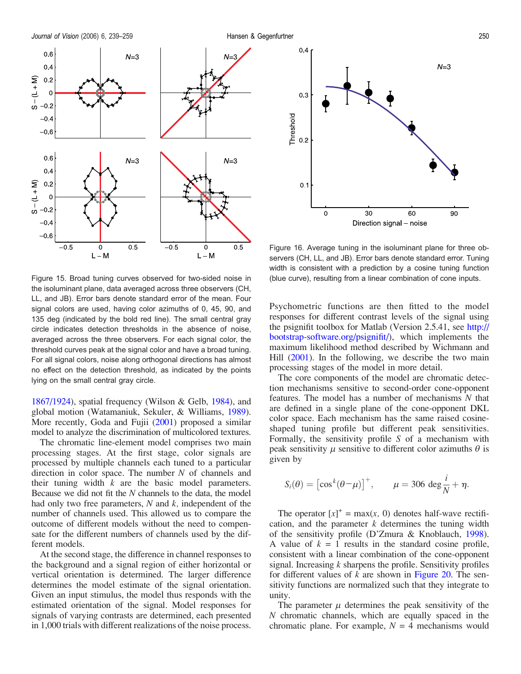<span id="page-11-0"></span>



the isoluminant plane, data averaged across three observers (CH, LL, and JB). Error bars denote standard error of the mean. Four signal colors are used, having color azimuths of 0, 45, 90, and 135 deg (indicated by the bold red line). The small central gray circle indicates detection thresholds in the absence of noise, averaged across the three observers. For each signal color, the threshold curves peak at the signal color and have a broad tuning. For all signal colors, noise along orthogonal directions has almost no effect on the detection threshold, as indicated by the points lying on the small central gray circle.

[1867/1924\)](#page-20-0), spatial frequency (Wilson & Gelb, [1984\)](#page-20-0), and global motion (Watamaniuk, Sekuler, & Williams, [1989\)](#page-20-0). More recently, Goda and Fujii ([2001](#page-19-0)) proposed a similar model to analyze the discrimination of multicolored textures.

The chromatic line-element model comprises two main processing stages. At the first stage, color signals are processed by multiple channels each tuned to a particular direction in color space. The number  $N$  of channels and their tuning width  $k$  are the basic model parameters. Because we did not fit the N channels to the data, the model had only two free parameters,  $N$  and  $k$ , independent of the number of channels used. This allowed us to compare the outcome of different models without the need to compensate for the different numbers of channels used by the different models.

At the second stage, the difference in channel responses to the background and a signal region of either horizontal or vertical orientation is determined. The larger difference determines the model estimate of the signal orientation. Given an input stimulus, the model thus responds with the estimated orientation of the signal. Model responses for signals of varying contrasts are determined, each presented in 1,000 trials with different realizations of the noise process.

Figure 16. Average tuning in the isoluminant plane for three observers (CH, LL, and JB). Error bars denote standard error. Tuning width is consistent with a prediction by a cosine tuning function Figure 15. Broad tuning curves observed for two-sided noise in (blue curve), resulting from a linear combination of cone inputs.

Psychometric functions are then fitted to the model responses for different contrast levels of the signal using the psignifit toolbox for Matlab (Version 2.5.41, see [http://](http://bootstrap-software.org/psignifit/) [bootstrap-software.org/psignifit/\)](http://bootstrap-software.org/psignifit/), which implements the maximum likelihood method described by Wichmann and Hill [\(2001](#page-20-0)). In the following, we describe the two main processing stages of the model in more detail.

The core components of the model are chromatic detection mechanisms sensitive to second-order cone-opponent features. The model has a number of mechanisms N that are defined in a single plane of the cone-opponent DKL color space. Each mechanism has the same raised cosineshaped tuning profile but different peak sensitivities. Formally, the sensitivity profile  $S$  of a mechanism with peak sensitivity  $\mu$  sensitive to different color azimuths  $\theta$  is given by

$$
S_i(\theta) = \left[\cos^k(\theta - \mu)\right]^+, \qquad \mu = 306 \deg \frac{i}{N} + \eta.
$$

The operator  $[x]^{+} = \max(x, 0)$  denotes half-wave rectification, and the parameter  $k$  determines the tuning width of the sensitivity profile (D'Zmura & Knoblauch, [1998\)](#page-19-0). A value of  $k = 1$  results in the standard cosine profile, consistent with a linear combination of the cone-opponent signal. Increasing  $k$  sharpens the profile. Sensitivity profiles for different values of  $k$  are shown in [Figure 20.](#page-13-0) The sensitivity functions are normalized such that they integrate to unity.

The parameter  $\mu$  determines the peak sensitivity of the N chromatic channels, which are equally spaced in the chromatic plane. For example,  $N = 4$  mechanisms would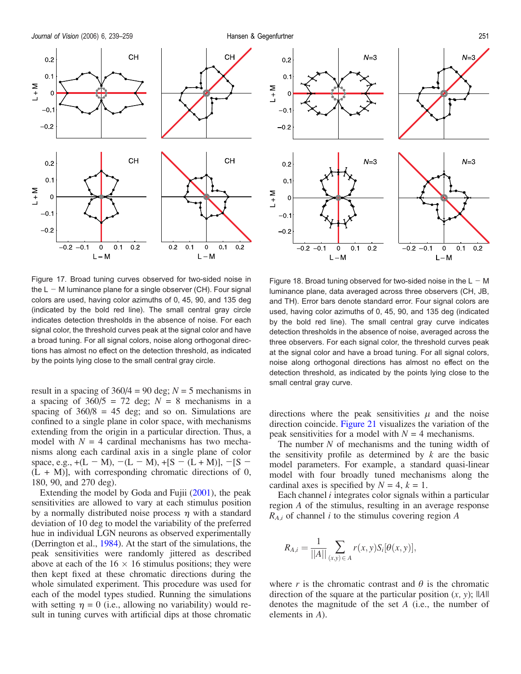<span id="page-12-0"></span>

Figure 17. Broad tuning curves observed for two-sided noise in the  $L - M$  luminance plane for a single observer (CH). Four signal colors are used, having color azimuths of 0, 45, 90, and 135 deg (indicated by the bold red line). The small central gray circle indicates detection thresholds in the absence of noise. For each signal color, the threshold curves peak at the signal color and have a broad tuning. For all signal colors, noise along orthogonal directions has almost no effect on the detection threshold, as indicated by the points lying close to the small central gray circle.

result in a spacing of  $360/4 = 90$  deg;  $N = 5$  mechanisms in a spacing of  $360/5 = 72$  deg;  $N = 8$  mechanisms in a spacing of  $360/8 = 45$  deg; and so on. Simulations are confined to a single plane in color space, with mechanisms extending from the origin in a particular direction. Thus, a model with  $N = 4$  cardinal mechanisms has two mechanisms along each cardinal axis in a single plane of color space, e.g.,  $+(L - M)$ ,  $-(L - M)$ ,  $+[S - (L + M)]$ ,  $-[S (L + M)$ ], with corresponding chromatic directions of 0, 180, 90, and 270 deg).

Extending the model by Goda and Fujii [\(2001\)](#page-19-0), the peak sensitivities are allowed to vary at each stimulus position by a normally distributed noise process  $\eta$  with a standard deviation of 10 deg to model the variability of the preferred hue in individual LGN neurons as observed experimentally (Derrington et al., [1984\)](#page-18-0). At the start of the simulations, the peak sensitivities were randomly jittered as described above at each of the  $16 \times 16$  stimulus positions; they were then kept fixed at these chromatic directions during the whole simulated experiment. This procedure was used for each of the model types studied. Running the simulations with setting  $\eta = 0$  (i.e., allowing no variability) would result in tuning curves with artificial dips at those chromatic

Figure 18. Broad tuning observed for two-sided noise in the  $L - M$ luminance plane, data averaged across three observers (CH, JB, and TH). Error bars denote standard error. Four signal colors are used, having color azimuths of 0, 45, 90, and 135 deg (indicated by the bold red line). The small central gray curve indicates detection thresholds in the absence of noise, averaged across the three observers. For each signal color, the threshold curves peak at the signal color and have a broad tuning. For all signal colors, noise along orthogonal directions has almost no effect on the detection threshold, as indicated by the points lying close to the small central gray curve.

directions where the peak sensitivities  $\mu$  and the noise direction coincide. [Figure 21](#page-13-0) visualizes the variation of the peak sensitivities for a model with  $N = 4$  mechanisms.

The number  $N$  of mechanisms and the tuning width of the sensitivity profile as determined by  $k$  are the basic model parameters. For example, a standard quasi-linear model with four broadly tuned mechanisms along the cardinal axes is specified by  $N = 4$ ,  $k = 1$ .

Each channel  $i$  integrates color signals within a particular region A of the stimulus, resulting in an average response  $R_{A,i}$  of channel *i* to the stimulus covering region A

$$
R_{A,i} = \frac{1}{||A||} \sum_{(x,y) \in A} r(x,y) S_i[\theta(x,y)],
$$

where r is the chromatic contrast and  $\theta$  is the chromatic direction of the square at the particular position  $(x, y)$ ; ||A|| denotes the magnitude of the set A (i.e., the number of elements in A).





 $L + M$ 

 $L + M$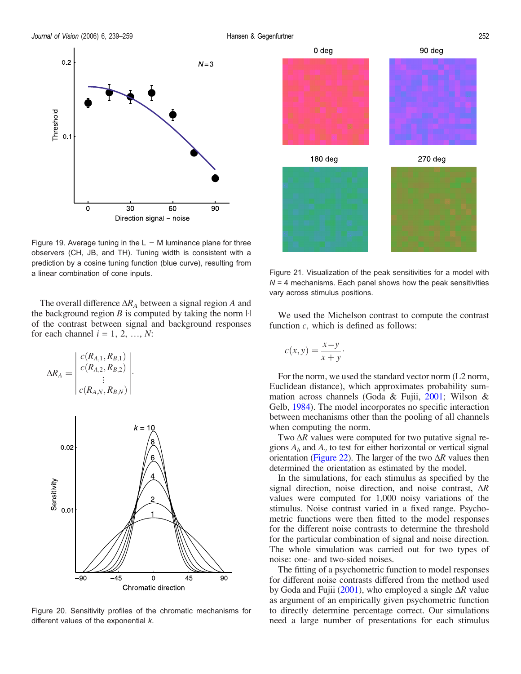<span id="page-13-0"></span>

Figure 19. Average tuning in the  $L - M$  luminance plane for three observers (CH, JB, and TH). Tuning width is consistent with a prediction by a cosine tuning function (blue curve), resulting from a linear combination of cone inputs.

The overall difference  $\Delta R_A$  between a signal region A and the background region  $B$  is computed by taking the norm  $\mathbb{H}$ of the contrast between signal and background responses for each channel  $i = 1, 2, ..., N$ :

$$
\Delta R_A = \begin{vmatrix} c(R_{A,1}, R_{B,1}) \\ c(R_{A,2}, R_{B,2}) \\ \vdots \\ c(R_{A,N}, R_{B,N}) \end{vmatrix}.
$$



Figure 20. Sensitivity profiles of the chromatic mechanisms for different values of the exponential  $k$ .



Figure 21. Visualization of the peak sensitivities for a model with  $N = 4$  mechanisms. Each panel shows how the peak sensitivities vary across stimulus positions.

We used the Michelson contrast to compute the contrast function c, which is defined as follows:

$$
c(x, y) = \frac{x - y}{x + y}.
$$

For the norm, we used the standard vector norm (L2 norm, Euclidean distance), which approximates probability summation across channels (Goda & Fujii, [2001;](#page-19-0) Wilson & Gelb, [1984\)](#page-20-0). The model incorporates no specific interaction between mechanisms other than the pooling of all channels when computing the norm.

Two  $\Delta R$  values were computed for two putative signal regions  $A_h$  and  $A_v$  to test for either horizontal or vertical signal orientation [\(Figure 22](#page-14-0)). The larger of the two  $\Delta R$  values then determined the orientation as estimated by the model.

In the simulations, for each stimulus as specified by the signal direction, noise direction, and noise contrast,  $\Delta R$ values were computed for 1,000 noisy variations of the stimulus. Noise contrast varied in a fixed range. Psychometric functions were then fitted to the model responses for the different noise contrasts to determine the threshold for the particular combination of signal and noise direction. The whole simulation was carried out for two types of noise: one- and two-sided noises.

The fitting of a psychometric function to model responses for different noise contrasts differed from the method used by Goda and Fujii [\(2001\)](#page-19-0), who employed a single  $\Delta R$  value as argument of an empirically given psychometric function to directly determine percentage correct. Our simulations need a large number of presentations for each stimulus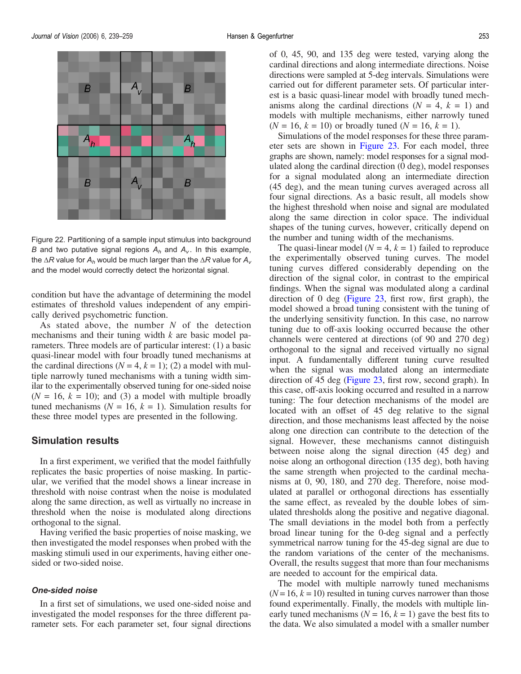<span id="page-14-0"></span>

Figure 22. Partitioning of a sample input stimulus into background B and two putative signal regions  $A_h$  and  $A_v$ . In this example, the  $\Delta R$  value for  $A_h$  would be much larger than the  $\Delta R$  value for  $A_v$ and the model would correctly detect the horizontal signal.

condition but have the advantage of determining the model estimates of threshold values independent of any empirically derived psychometric function.

As stated above, the number  $N$  of the detection mechanisms and their tuning width  $k$  are basic model parameters. Three models are of particular interest: (1) a basic quasi-linear model with four broadly tuned mechanisms at the cardinal directions ( $N = 4$ ,  $k = 1$ ); (2) a model with multiple narrowly tuned mechanisms with a tuning width similar to the experimentally observed tuning for one-sided noise  $(N = 16, k = 10)$ ; and (3) a model with multiple broadly tuned mechanisms ( $N = 16$ ,  $k = 1$ ). Simulation results for these three model types are presented in the following.

## Simulation results

In a first experiment, we verified that the model faithfully replicates the basic properties of noise masking. In particular, we verified that the model shows a linear increase in threshold with noise contrast when the noise is modulated along the same direction, as well as virtually no increase in threshold when the noise is modulated along directions orthogonal to the signal.

Having verified the basic properties of noise masking, we then investigated the model responses when probed with the masking stimuli used in our experiments, having either onesided or two-sided noise.

#### One-sided noise

In a first set of simulations, we used one-sided noise and investigated the model responses for the three different parameter sets. For each parameter set, four signal directions of 0, 45, 90, and 135 deg were tested, varying along the cardinal directions and along intermediate directions. Noise directions were sampled at 5-deg intervals. Simulations were carried out for different parameter sets. Of particular interest is a basic quasi-linear model with broadly tuned mechanisms along the cardinal directions  $(N = 4, k = 1)$  and models with multiple mechanisms, either narrowly tuned  $(N = 16, k = 10)$  or broadly tuned  $(N = 16, k = 1)$ .

Simulations of the model responses for these three parameter sets are shown in [Figure 23.](#page-15-0) For each model, three graphs are shown, namely: model responses for a signal modulated along the cardinal direction (0 deg), model responses for a signal modulated along an intermediate direction (45 deg), and the mean tuning curves averaged across all four signal directions. As a basic result, all models show the highest threshold when noise and signal are modulated along the same direction in color space. The individual shapes of the tuning curves, however, critically depend on the number and tuning width of the mechanisms.

The quasi-linear model ( $N = 4$ ,  $k = 1$ ) failed to reproduce the experimentally observed tuning curves. The model tuning curves differed considerably depending on the direction of the signal color, in contrast to the empirical findings. When the signal was modulated along a cardinal direction of 0 deg ([Figure 23,](#page-15-0) first row, first graph), the model showed a broad tuning consistent with the tuning of the underlying sensitivity function. In this case, no narrow tuning due to off-axis looking occurred because the other channels were centered at directions (of 90 and 270 deg) orthogonal to the signal and received virtually no signal input. A fundamentally different tuning curve resulted when the signal was modulated along an intermediate direction of 45 deg ([Figure 23,](#page-15-0) first row, second graph). In this case, off-axis looking occurred and resulted in a narrow tuning: The four detection mechanisms of the model are located with an offset of 45 deg relative to the signal direction, and those mechanisms least affected by the noise along one direction can contribute to the detection of the signal. However, these mechanisms cannot distinguish between noise along the signal direction (45 deg) and noise along an orthogonal direction (135 deg), both having the same strength when projected to the cardinal mechanisms at 0, 90, 180, and 270 deg. Therefore, noise modulated at parallel or orthogonal directions has essentially the same effect, as revealed by the double lobes of simulated thresholds along the positive and negative diagonal. The small deviations in the model both from a perfectly broad linear tuning for the 0-deg signal and a perfectly symmetrical narrow tuning for the 45-deg signal are due to the random variations of the center of the mechanisms. Overall, the results suggest that more than four mechanisms are needed to account for the empirical data.

The model with multiple narrowly tuned mechanisms  $(N = 16, k = 10)$  resulted in tuning curves narrower than those found experimentally. Finally, the models with multiple linearly tuned mechanisms ( $N = 16$ ,  $k = 1$ ) gave the best fits to the data. We also simulated a model with a smaller number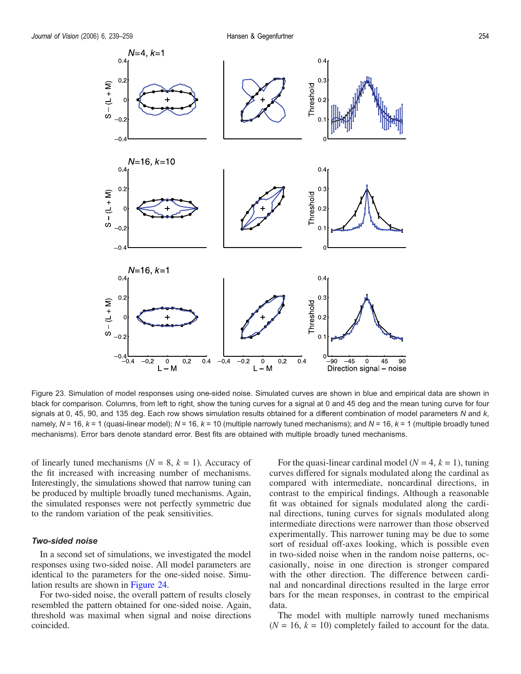<span id="page-15-0"></span>

Figure 23. Simulation of model responses using one-sided noise. Simulated curves are shown in blue and empirical data are shown in black for comparison. Columns, from left to right, show the tuning curves for a signal at 0 and 45 deg and the mean tuning curve for four signals at 0, 45, 90, and 135 deg. Each row shows simulation results obtained for a different combination of model parameters N and  $k$ , namely,  $N = 16$ ,  $k = 1$  (quasi-linear model);  $N = 16$ ,  $k = 10$  (multiple narrowly tuned mechanisms); and  $N = 16$ ,  $k = 1$  (multiple broadly tuned mechanisms). Error bars denote standard error. Best fits are obtained with multiple broadly tuned mechanisms.

of linearly tuned mechanisms ( $N = 8$ ,  $k = 1$ ). Accuracy of the fit increased with increasing number of mechanisms. Interestingly, the simulations showed that narrow tuning can be produced by multiple broadly tuned mechanisms. Again, the simulated responses were not perfectly symmetric due to the random variation of the peak sensitivities.

#### Two-sided noise

In a second set of simulations, we investigated the model responses using two-sided noise. All model parameters are identical to the parameters for the one-sided noise. Simulation results are shown in [Figure 24](#page-16-0).

For two-sided noise, the overall pattern of results closely resembled the pattern obtained for one-sided noise. Again, threshold was maximal when signal and noise directions coincided.

For the quasi-linear cardinal model ( $N = 4$ ,  $k = 1$ ), tuning curves differed for signals modulated along the cardinal as compared with intermediate, noncardinal directions, in contrast to the empirical findings. Although a reasonable fit was obtained for signals modulated along the cardinal directions, tuning curves for signals modulated along intermediate directions were narrower than those observed experimentally. This narrower tuning may be due to some sort of residual off-axes looking, which is possible even in two-sided noise when in the random noise patterns, occasionally, noise in one direction is stronger compared with the other direction. The difference between cardinal and noncardinal directions resulted in the large error bars for the mean responses, in contrast to the empirical data.

The model with multiple narrowly tuned mechanisms  $(N = 16, k = 10)$  completely failed to account for the data.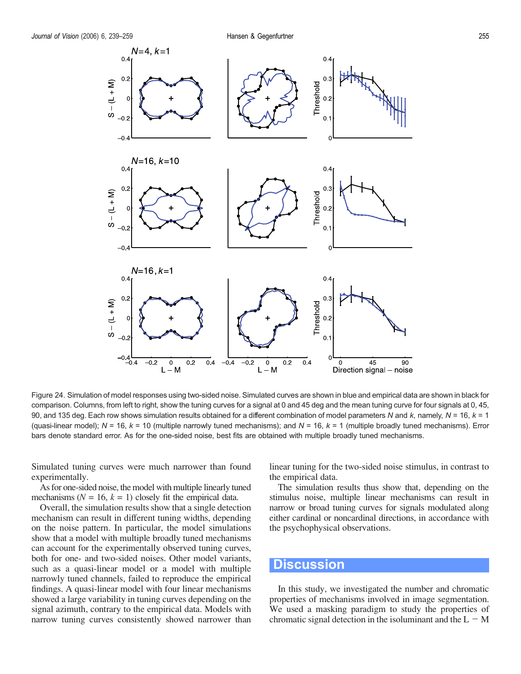<span id="page-16-0"></span>

Figure 24. Simulation of model responses using two-sided noise. Simulated curves are shown in blue and empirical data are shown in black for comparison. Columns, from left to right, show the tuning curves for a signal at 0 and 45 deg and the mean tuning curve for four signals at 0, 45, 90, and 135 deg. Each row shows simulation results obtained for a different combination of model parameters N and k, namely,  $N = 16$ ,  $k = 1$ (quasi-linear model);  $N = 16$ ,  $k = 10$  (multiple narrowly tuned mechanisms); and  $N = 16$ ,  $k = 1$  (multiple broadly tuned mechanisms). Error bars denote standard error. As for the one-sided noise, best fits are obtained with multiple broadly tuned mechanisms.

Simulated tuning curves were much narrower than found experimentally.

As for one-sided noise, the model with multiple linearly tuned mechanisms ( $N = 16$ ,  $k = 1$ ) closely fit the empirical data.

Overall, the simulation results show that a single detection mechanism can result in different tuning widths, depending on the noise pattern. In particular, the model simulations show that a model with multiple broadly tuned mechanisms can account for the experimentally observed tuning curves, both for one- and two-sided noises. Other model variants, such as a quasi-linear model or a model with multiple narrowly tuned channels, failed to reproduce the empirical findings. A quasi-linear model with four linear mechanisms showed a large variability in tuning curves depending on the signal azimuth, contrary to the empirical data. Models with narrow tuning curves consistently showed narrower than linear tuning for the two-sided noise stimulus, in contrast to the empirical data.

The simulation results thus show that, depending on the stimulus noise, multiple linear mechanisms can result in narrow or broad tuning curves for signals modulated along either cardinal or noncardinal directions, in accordance with the psychophysical observations.

# **Discussion**

In this study, we investigated the number and chromatic properties of mechanisms involved in image segmentation. We used a masking paradigm to study the properties of chromatic signal detection in the isoluminant and the  $L - M$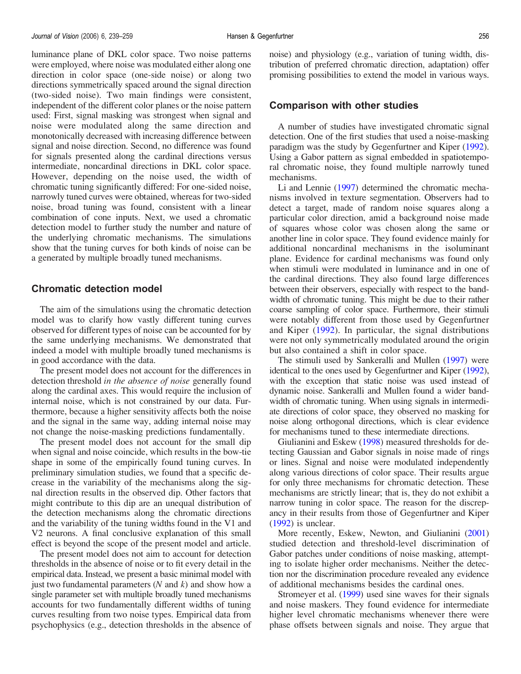luminance plane of DKL color space. Two noise patterns were employed, where noise was modulated either along one direction in color space (one-side noise) or along two directions symmetrically spaced around the signal direction (two-sided noise). Two main findings were consistent, independent of the different color planes or the noise pattern used: First, signal masking was strongest when signal and noise were modulated along the same direction and monotonically decreased with increasing difference between signal and noise direction. Second, no difference was found for signals presented along the cardinal directions versus intermediate, noncardinal directions in DKL color space. However, depending on the noise used, the width of chromatic tuning significantly differed: For one-sided noise, narrowly tuned curves were obtained, whereas for two-sided noise, broad tuning was found, consistent with a linear combination of cone inputs. Next, we used a chromatic detection model to further study the number and nature of the underlying chromatic mechanisms. The simulations show that the tuning curves for both kinds of noise can be a generated by multiple broadly tuned mechanisms.

#### Chromatic detection model

The aim of the simulations using the chromatic detection model was to clarify how vastly different tuning curves observed for different types of noise can be accounted for by the same underlying mechanisms. We demonstrated that indeed a model with multiple broadly tuned mechanisms is in good accordance with the data.

The present model does not account for the differences in detection threshold in the absence of noise generally found along the cardinal axes. This would require the inclusion of internal noise, which is not constrained by our data. Furthermore, because a higher sensitivity affects both the noise and the signal in the same way, adding internal noise may not change the noise-masking predictions fundamentally.

The present model does not account for the small dip when signal and noise coincide, which results in the bow-tie shape in some of the empirically found tuning curves. In preliminary simulation studies, we found that a specific decrease in the variability of the mechanisms along the signal direction results in the observed dip. Other factors that might contribute to this dip are an unequal distribution of the detection mechanisms along the chromatic directions and the variability of the tuning widths found in the V1 and V2 neurons. A final conclusive explanation of this small effect is beyond the scope of the present model and article.

The present model does not aim to account for detection thresholds in the absence of noise or to fit every detail in the empirical data. Instead, we present a basic minimal model with just two fundamental parameters  $(N \text{ and } k)$  and show how a single parameter set with multiple broadly tuned mechanisms accounts for two fundamentally different widths of tuning curves resulting from two noise types. Empirical data from psychophysics (e.g., detection thresholds in the absence of noise) and physiology (e.g., variation of tuning width, distribution of preferred chromatic direction, adaptation) offer promising possibilities to extend the model in various ways.

#### Comparison with other studies

A number of studies have investigated chromatic signal detection. One of the first studies that used a noise-masking paradigm was the study by Gegenfurtner and Kiper [\(1992\)](#page-19-0). Using a Gabor pattern as signal embedded in spatiotemporal chromatic noise, they found multiple narrowly tuned mechanisms.

Li and Lennie [\(1997\)](#page-19-0) determined the chromatic mechanisms involved in texture segmentation. Observers had to detect a target, made of random noise squares along a particular color direction, amid a background noise made of squares whose color was chosen along the same or another line in color space. They found evidence mainly for additional noncardinal mechanisms in the isoluminant plane. Evidence for cardinal mechanisms was found only when stimuli were modulated in luminance and in one of the cardinal directions. They also found large differences between their observers, especially with respect to the bandwidth of chromatic tuning. This might be due to their rather coarse sampling of color space. Furthermore, their stimuli were notably different from those used by Gegenfurtner and Kiper [\(1992\)](#page-19-0). In particular, the signal distributions were not only symmetrically modulated around the origin but also contained a shift in color space.

The stimuli used by Sankeralli and Mullen [\(1997\)](#page-20-0) were identical to the ones used by Gegenfurtner and Kiper [\(1992\)](#page-19-0), with the exception that static noise was used instead of dynamic noise. Sankeralli and Mullen found a wider bandwidth of chromatic tuning. When using signals in intermediate directions of color space, they observed no masking for noise along orthogonal directions, which is clear evidence for mechanisms tuned to these intermediate directions.

Giulianini and Eskew ([1998](#page-19-0)) measured thresholds for detecting Gaussian and Gabor signals in noise made of rings or lines. Signal and noise were modulated independently along various directions of color space. Their results argue for only three mechanisms for chromatic detection. These mechanisms are strictly linear; that is, they do not exhibit a narrow tuning in color space. The reason for the discrepancy in their results from those of Gegenfurtner and Kiper [\(1992\)](#page-19-0) is unclear.

More recently, Eskew, Newton, and Giulianini ([2001](#page-19-0)) studied detection and threshold-level discrimination of Gabor patches under conditions of noise masking, attempting to isolate higher order mechanisms. Neither the detection nor the discrimination procedure revealed any evidence of additional mechanisms besides the cardinal ones.

Stromeyer et al. [\(1999\)](#page-20-0) used sine waves for their signals and noise maskers. They found evidence for intermediate higher level chromatic mechanisms whenever there were phase offsets between signals and noise. They argue that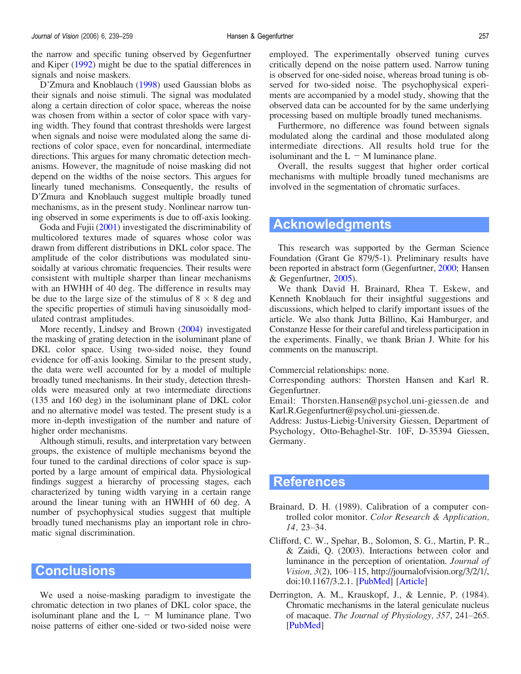<span id="page-18-0"></span>the narrow and specific tuning observed by Gegenfurtner and Kiper [\(1992\)](#page-19-0) might be due to the spatial differences in signals and noise maskers.

D'Zmura and Knoblauch [\(1998\)](#page-19-0) used Gaussian blobs as their signals and noise stimuli. The signal was modulated along a certain direction of color space, whereas the noise was chosen from within a sector of color space with varying width. They found that contrast thresholds were largest when signals and noise were modulated along the same directions of color space, even for noncardinal, intermediate directions. This argues for many chromatic detection mechanisms. However, the magnitude of noise masking did not depend on the widths of the noise sectors. This argues for linearly tuned mechanisms. Consequently, the results of D'Zmura and Knoblauch suggest multiple broadly tuned mechanisms, as in the present study. Nonlinear narrow tuning observed in some experiments is due to off-axis looking.

Goda and Fujii [\(2001\)](#page-19-0) investigated the discriminability of multicolored textures made of squares whose color was drawn from different distributions in DKL color space. The amplitude of the color distributions was modulated sinusoidally at various chromatic frequencies. Their results were consistent with multiple sharper than linear mechanisms with an HWHH of 40 deg. The difference in results may be due to the large size of the stimulus of  $8 \times 8$  deg and the specific properties of stimuli having sinusoidally modulated contrast amplitudes.

More recently, Lindsey and Brown [\(2004](#page-19-0)) investigated the masking of grating detection in the isoluminant plane of DKL color space. Using two-sided noise, they found evidence for off-axis looking. Similar to the present study, the data were well accounted for by a model of multiple broadly tuned mechanisms. In their study, detection thresholds were measured only at two intermediate directions (135 and 160 deg) in the isoluminant plane of DKL color and no alternative model was tested. The present study is a more in-depth investigation of the number and nature of higher order mechanisms.

Although stimuli, results, and interpretation vary between groups, the existence of multiple mechanisms beyond the four tuned to the cardinal directions of color space is supported by a large amount of empirical data. Physiological findings suggest a hierarchy of processing stages, each characterized by tuning width varying in a certain range around the linear tuning with an HWHH of 60 deg. A number of psychophysical studies suggest that multiple broadly tuned mechanisms play an important role in chromatic signal discrimination.

# **Conclusions**

We used a noise-masking paradigm to investigate the chromatic detection in two planes of DKL color space, the isoluminant plane and the  $L - M$  luminance plane. Two noise patterns of either one-sided or two-sided noise were employed. The experimentally observed tuning curves critically depend on the noise pattern used. Narrow tuning is observed for one-sided noise, whereas broad tuning is observed for two-sided noise. The psychophysical experiments are accompanied by a model study, showing that the observed data can be accounted for by the same underlying processing based on multiple broadly tuned mechanisms.

Furthermore, no difference was found between signals modulated along the cardinal and those modulated along intermediate directions. All results hold true for the isoluminant and the  $L - M$  luminance plane.

Overall, the results suggest that higher order cortical mechanisms with multiple broadly tuned mechanisms are involved in the segmentation of chromatic surfaces.

# Acknowledgments

This research was supported by the German Science Foundation (Grant Ge 879/5-1). Preliminary results have been reported in abstract form (Gegenfurtner, [2000](#page-19-0); Hansen & Gegenfurtner, [2005\)](#page-19-0).

We thank David H. Brainard, Rhea T. Eskew, and Kenneth Knoblauch for their insightful suggestions and discussions, which helped to clarify important issues of the article. We also thank Jutta Billino, Kai Hamburger, and Constanze Hesse for their careful and tireless participation in the experiments. Finally, we thank Brian J. White for his comments on the manuscript.

Commercial relationships: none.

Corresponding authors: Thorsten Hansen and Karl R. Gegenfurtner.

Email: Thorsten.Hansen@psychol.uni-giessen.de and Karl.R.Gegenfurtner@psychol.uni-giessen.de.

Address: Justus-Liebig-University Giessen, Department of Psychology, Otto-Behaghel-Str. 10F, D-35394 Giessen, Germany.

# **References**

- Brainard, D. H. (1989). Calibration of a computer controlled color monitor. Color Research & Application,  $14, 23 - 34.$
- Clifford, C. W., Spehar, B., Solomon, S. G., Martin, P. R., & Zaidi, Q. (2003). Interactions between color and luminance in the perception of orientation. Journal of Vision,  $3(2)$ ,  $106-115$ , http://journalofvision.org/ $3/2/1$ /, doi:10.1167/3.2.1. [\[PubMed](http://www.ncbi.nlm.nih.gov/entrez/query.fcgi?cmd=Retrieve&db=PubMed&dopt=Abstract&list_uids=12678615)] [\[Article\]](http://journalofvision.org/3/2/1/)
- Derrington, A. M., Krauskopf, J., & Lennie, P. (1984). Chromatic mechanisms in the lateral geniculate nucleus of macaque. The Journal of Physiology, 357, 241–265. [\[PubMed](http://www.ncbi.nlm.nih.gov/entrez/query.fcgi?cmd=Retrieve&db=PubMed&dopt=Abstract&list_uids=%206512691)]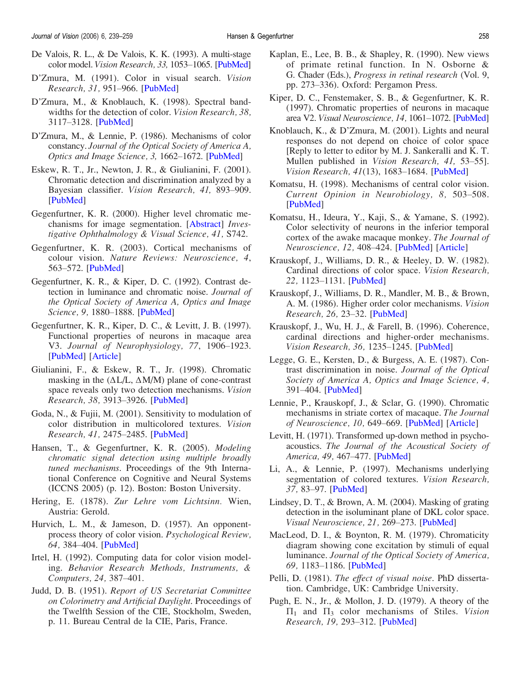- <span id="page-19-0"></span>De Valois, R. L., & De Valois, K. K. (1993). A multi-stage color model. Vision Research, 33, 1053-1065. [\[PubMed\]](http://www.ncbi.nlm.nih.gov/entrez/query.fcgi?cmd=Retrieve&db=PubMed&dopt=Abstract&list_uids=8506645)
- D'Zmura, M. (1991). Color in visual search. Vision Research, 31, 951-966. [[PubMed\]](http://www.ncbi.nlm.nih.gov/entrez/query.fcgi?cmd=Retrieve&db=PubMed&dopt=Abstract&list_uids=1858326)
- D'Zmura, M., & Knoblauch, K. (1998). Spectral bandwidths for the detection of color. Vision Research, 38, 3117-3128. [\[PubMed](http://www.ncbi.nlm.nih.gov/entrez/query.fcgi?cmd=Retrieve&db=PubMed&dopt=Abstract&list_uids=9893820)]
- D'Zmura, M., & Lennie, P. (1986). Mechanisms of color constancy. Journal of the Optical Society of America A, Optics and Image Science, 3, 1662–1672.  $[PubMed]$  $[PubMed]$
- Eskew, R. T., Jr., Newton, J. R., & Giulianini, F. (2001). Chromatic detection and discrimination analyzed by a Bayesian classifier. *Vision Research*, 41, 893–909. [\[PubMed](http://www.ncbi.nlm.nih.gov/entrez/query.fcgi?cmd=Retrieve&db=pubmed&dopt=Abstract&list_uids=11248275&query_hl=54&itool=pubmed_docsum)]
- Gegenfurtner, K. R. (2000). Higher level chromatic mechanisms for image segmentation. [[Abstract\]](http://www.uni-giessen.de/~g61088/html/abstracts.html) Investigative Ophthalmology & Visual Science, 41, S742.
- Gegenfurtner, K. R. (2003). Cortical mechanisms of colour vision. Nature Reviews: Neuroscience, 4,  $563 - 572$ . [\[PubMed](http://www.ncbi.nlm.nih.gov/entrez/query.fcgi?cmd=Retrieve&db=PubMed&dopt=Abstract&list_uids=12838331)]
- Gegenfurtner, K. R., & Kiper, D. C. (1992). Contrast detection in luminance and chromatic noise. Journal of the Optical Society of America A, Optics and Image Science, 9, 1880–1888. [\[PubMed](http://www.ncbi.nlm.nih.gov/entrez/query.fcgi?cmd=Retrieve&db=PubMed&dopt=Abstract&list_uids=1432339)]
- Gegenfurtner, K. R., Kiper, D. C., & Levitt, J. B. (1997). Functional properties of neurons in macaque area V3. Journal of Neurophysiology, 77, 1906-1923. [\[PubMed](http://www.ncbi.nlm.nih.gov/entrez/query.fcgi?cmd=Retrieve&db=PubMed&dopt=Abstract&list_uids=9114244)] [\[Article\]](http://jn.physiology.org/cgi/content/full/77/4/1906)
- Giulianini, F., & Eskew, R. T., Jr. (1998). Chromatic masking in the  $(\Delta L/L, \Delta M/M)$  plane of cone-contrast space reveals only two detection mechanisms. Vision Research, 38, 3913-3926. [[PubMed\]](http://www.ncbi.nlm.nih.gov/entrez/query.fcgi?cmd=Retrieve&db=PubMed&dopt=Abstract&list_uids=10211383)
- Goda, N., & Fujii, M. (2001). Sensitivity to modulation of color distribution in multicolored textures. Vision Research, 41, 2475-2485. [[PubMed\]](http://www.ncbi.nlm.nih.gov/entrez/query.fcgi?cmd=Retrieve&db=PubMed&dopt=Abstract&list_uids=11483178)
- Hansen, T., & Gegenfurtner, K. R. (2005). Modeling chromatic signal detection using multiple broadly tuned mechanisms. Proceedings of the 9th International Conference on Cognitive and Neural Systems (ICCNS 2005) (p. 12). Boston: Boston University.
- Hering, E. (1878). Zur Lehre vom Lichtsinn. Wien, Austria: Gerold.
- Hurvich, L. M., & Jameson, D. (1957). An opponentprocess theory of color vision. Psychological Review, 64, 384–404. [\[PubMed](http://www.ncbi.nlm.nih.gov/entrez/query.fcgi?cmd=Retrieve&db=pubmed&dopt=Abstract&list_uids=13505974&query_hl=86&itool=pubmed_docsum)]
- Irtel, H. (1992). Computing data for color vision modeling. Behavior Research Methods, Instruments, & Computers, 24, 387-401.
- Judd, D. B. (1951). Report of US Secretariat Committee on Colorimetry and Artificial Daylight. Proceedings of the Twelfth Session of the CIE, Stockholm, Sweden, p. 11. Bureau Central de la CIE, Paris, France.
- Kaplan, E., Lee, B. B., & Shapley, R. (1990). New views of primate retinal function. In N. Osborne & G. Chader (Eds.), Progress in retinal research (Vol. 9, pp. 273–336). Oxford: Pergamon Press.
- Kiper, D. C., Fenstemaker, S. B., & Gegenfurtner, K. R. (1997). Chromatic properties of neurons in macaque area V2. Visual Neuroscience, 14, 1061-1072. [\[PubMed](http://www.ncbi.nlm.nih.gov/entrez/query.fcgi?cmd=Retrieve&db=PubMed&dopt=Abstract&list_uids=%209447688)]
- Knoblauch, K., & D'Zmura, M. (2001). Lights and neural responses do not depend on choice of color space [Reply to letter to editor by M. J. Sankeralli and K. T. Mullen published in *Vision Research*, 41, 53–55]. Vision Research,  $41(13)$ , 1683-1684. [\[PubMed](http://www.ncbi.nlm.nih.gov/entrez/query.fcgi?cmd=Retrieve&db=PubMed&dopt=Abstract&list_uids=11388175)]
- Komatsu, H. (1998). Mechanisms of central color vision. Current Opinion in Neurobiology, 8, 503-508. [\[PubMed](http://www.ncbi.nlm.nih.gov/entrez/query.fcgi?cmd=Retrieve&db=PubMed&dopt=Abstract&list_uids=9751651)]
- Komatsu, H., Ideura, Y., Kaji, S., & Yamane, S. (1992). Color selectivity of neurons in the inferior temporal cortex of the awake macaque monkey. The Journal of Neuroscience, 12, 408-424. [\[PubMed](http://www.ncbi.nlm.nih.gov/entrez/query.fcgi?cmd=Retrieve&db=PubMed&dopt=Abstract&list_uids=1740688)] [\[Article\]](http://www.jneurosci.org/cgi/reprint/12/2/408)
- Krauskopf, J., Williams, D. R., & Heeley, D. W. (1982). Cardinal directions of color space. Vision Research,  $22, 1123-1131.$  [\[PubMed](http://www.ncbi.nlm.nih.gov/entrez/query.fcgi?cmd=Retrieve&db=PubMed&dopt=Abstract&list_uids=7147723)]
- Krauskopf, J., Williams, D. R., Mandler, M. B., & Brown, A. M. (1986). Higher order color mechanisms. Vision Research, 26, 23-32. [\[PubMed](http://www.ncbi.nlm.nih.gov/entrez/query.fcgi?cmd=Retrieve&db=PubMed&dopt=Abstract&list_uids=3716212)]
- Krauskopf, J., Wu, H. J., & Farell, B. (1996). Coherence, cardinal directions and higher-order mechanisms. Vision Research, 36, 1235-1245. [[PubMed\]](http://www.ncbi.nlm.nih.gov/entrez/query.fcgi?cmd=Retrieve&db=PubMed&dopt=Abstract&list_uids=8711903)
- Legge, G. E., Kersten, D., & Burgess, A. E. (1987). Contrast discrimination in noise. Journal of the Optical Society of America A, Optics and Image Science, 4, 391–404. [[PubMed\]](http://www.ncbi.nlm.nih.gov/entrez/query.fcgi?cmd=Retrieve&db=PubMed&dopt=Abstract&list_uids=3559785)
- Lennie, P., Krauskopf, J., & Sclar, G. (1990). Chromatic mechanisms in striate cortex of macaque. The Journal of Neuroscience, 10, 649–669. [\[PubMed](http://www.ncbi.nlm.nih.gov/entrez/query.fcgi?cmd=Retrieve&db=PubMed&dopt=Abstract&list_uids=2303866)] [\[Article\]](http://www.jneurosci.org/cgi/reprint/10/2/649)
- Levitt, H. (1971). Transformed up-down method in psychoacoustics. The Journal of the Acoustical Society of America, 49, 467–477. [\[PubMed](http://www.ncbi.nlm.nih.gov/entrez/query.fcgi?cmd=Retrieve&db=pubmed&dopt=Abstract&list_uids=5541744&query_hl=103&itool=pubmed_docsum)]
- Li, A., & Lennie, P. (1997). Mechanisms underlying segmentation of colored textures. Vision Research,  $37, 83 - 97.$  [\[PubMed](http://www.ncbi.nlm.nih.gov/entrez/query.fcgi?cmd=Retrieve&db=PubMed&dopt=Abstract&list_uids=9068832)]
- Lindsey, D. T., & Brown, A. M. (2004). Masking of grating detection in the isoluminant plane of DKL color space. Visual Neuroscience, 21, 269-273. [[PubMed](http://www.ncbi.nlm.nih.gov/entrez/query.fcgi?cmd=Retrieve&db=PubMed&dopt=Abstract&list_uids=15518199)]
- MacLeod, D. I., & Boynton, R. M. (1979). Chromaticity diagram showing cone excitation by stimuli of equal luminance. Journal of the Optical Society of America, 69, 1183–1186. [\[PubMed](http://www.ncbi.nlm.nih.gov/entrez/query.fcgi?cmd=Retrieve&db=PubMed&dopt=Abstract&list_uids=490231)]
- Pelli, D. (1981). The effect of visual noise. PhD dissertation. Cambridge, UK: Cambridge University.
- Pugh, E. N., Jr., & Mollon, J. D. (1979). A theory of the  $\Pi_1$  and  $\Pi_3$  color mechanisms of Stiles. Vision Research, 19, 293–312. [\[PubMed](http://www.ncbi.nlm.nih.gov/entrez/query.fcgi?cmd=Retrieve&db=PubMed&dopt=Abstract&list_uids=444331)]